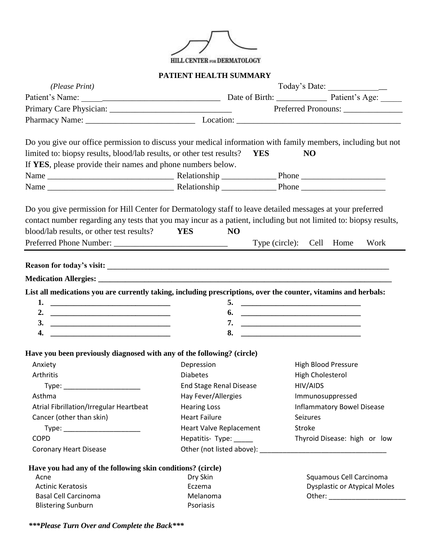

## **PATIENT HEALTH SUMMARY**

|                                                                                                                                                                                                                                                                             | Today's Date:<br>(Please Print) |                                                                                                                 |  |  |
|-----------------------------------------------------------------------------------------------------------------------------------------------------------------------------------------------------------------------------------------------------------------------------|---------------------------------|-----------------------------------------------------------------------------------------------------------------|--|--|
|                                                                                                                                                                                                                                                                             |                                 |                                                                                                                 |  |  |
|                                                                                                                                                                                                                                                                             |                                 | Preferred Pronouns:                                                                                             |  |  |
|                                                                                                                                                                                                                                                                             |                                 |                                                                                                                 |  |  |
| Do you give our office permission to discuss your medical information with family members, including but not<br>limited to: biopsy results, blood/lab results, or other test results?    VES<br>If YES, please provide their names and phone numbers below.                 |                                 | N <sub>O</sub>                                                                                                  |  |  |
|                                                                                                                                                                                                                                                                             |                                 |                                                                                                                 |  |  |
|                                                                                                                                                                                                                                                                             |                                 |                                                                                                                 |  |  |
| Do you give permission for Hill Center for Dermatology staff to leave detailed messages at your preferred<br>contact number regarding any tests that you may incur as a patient, including but not limited to: biopsy results,<br>blood/lab results, or other test results? | <b>YES</b><br>N <sub>O</sub>    | Type (circle): Cell Home<br>Work                                                                                |  |  |
|                                                                                                                                                                                                                                                                             |                                 |                                                                                                                 |  |  |
|                                                                                                                                                                                                                                                                             |                                 |                                                                                                                 |  |  |
|                                                                                                                                                                                                                                                                             |                                 |                                                                                                                 |  |  |
| 4.                                                                                                                                                                                                                                                                          | 8.                              | List all medications you are currently taking, including prescriptions, over the counter, vitamins and herbals: |  |  |
|                                                                                                                                                                                                                                                                             |                                 |                                                                                                                 |  |  |
|                                                                                                                                                                                                                                                                             |                                 |                                                                                                                 |  |  |
| Anxiety                                                                                                                                                                                                                                                                     | Depression                      | <b>High Blood Pressure</b>                                                                                      |  |  |
| Arthritis                                                                                                                                                                                                                                                                   | <b>Diabetes</b>                 | High Cholesterol                                                                                                |  |  |
| Type: _________________________                                                                                                                                                                                                                                             | <b>End Stage Renal Disease</b>  | HIV/AIDS                                                                                                        |  |  |
| Asthma                                                                                                                                                                                                                                                                      | Hay Fever/Allergies             | Immunosuppressed                                                                                                |  |  |
| Atrial Fibrillation/Irregular Heartbeat                                                                                                                                                                                                                                     | <b>Hearing Loss</b>             | <b>Inflammatory Bowel Disease</b>                                                                               |  |  |
| Cancer (other than skin)                                                                                                                                                                                                                                                    | <b>Heart Failure</b>            | <b>Seizures</b>                                                                                                 |  |  |
| Type: _________________________                                                                                                                                                                                                                                             | Heart Valve Replacement         | Stroke                                                                                                          |  |  |
| <b>COPD</b><br><b>Coronary Heart Disease</b>                                                                                                                                                                                                                                | Hepatitis-Type: ____            | Thyroid Disease: high or low                                                                                    |  |  |
|                                                                                                                                                                                                                                                                             |                                 |                                                                                                                 |  |  |
| Have you had any of the following skin conditions? (circle)                                                                                                                                                                                                                 |                                 |                                                                                                                 |  |  |
| Acne                                                                                                                                                                                                                                                                        | Dry Skin                        | Squamous Cell Carcinoma                                                                                         |  |  |
| Have you been previously diagnosed with any of the following? (circle)<br><b>Actinic Keratosis</b><br><b>Basal Cell Carcinoma</b>                                                                                                                                           | Eczema<br>Melanoma              | <b>Dysplastic or Atypical Moles</b>                                                                             |  |  |

*\*\*\*Please Turn Over and Complete the Back\*\*\**